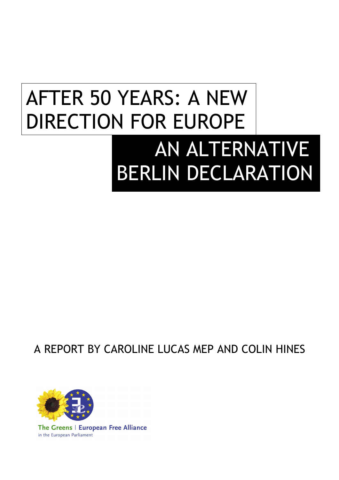# AFTER 50 YEARS: A NEW DIRECTION FOR EUROPE AN ALTERNATIVE BERLIN DECLARATION

# A REPORT BY CAROLINE LUCAS MEP AND COLIN HINES



The Greens | European Free Alliance in the European Parliament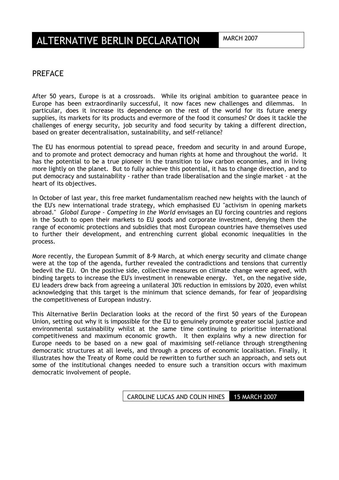#### PREFACE

After 50 years, Europe is at a crossroads. While its original ambition to guarantee peace in Europe has been extraordinarily successful, it now faces new challenges and dilemmas. In particular, does it increase its dependence on the rest of the world for its future energy supplies, its markets for its products and evermore of the food it consumes? Or does it tackle the challenges of energy security, job security and food security by taking a different direction, based on greater decentralisation, sustainability, and self-reliance?

The EU has enormous potential to spread peace, freedom and security in and around Europe, and to promote and protect democracy and human rights at home and throughout the world. It has the potential to be a true pioneer in the transition to low carbon economies, and in living more lightly on the planet. But to fully achieve this potential, it has to change direction, and to put democracy and sustainability - rather than trade liberalisation and the single market - at the heart of its objectives.

In October of last year, this free market fundamentalism reached new heights with the launch of the EU's new international trade strategy, which emphasised EU "activism in opening markets abroad." *Global Europe - Competing in the World* envisages an EU forcing countries and regions in the South to open their markets to EU goods and corporate investment, denying them the range of economic protections and subsidies that most European countries have themselves used to further their development, and entrenching current global economic inequalities in the process.

More recently, the European Summit of 8-9 March, at which energy security and climate change were at the top of the agenda, further revealed the contradictions and tensions that currently bedevil the EU. On the positive side, collective measures on climate change were agreed, with binding targets to increase the EU's investment in renewable energy. Yet, on the negative side, EU leaders drew back from agreeing a unilateral 30% reduction in emissions by 2020, even whilst acknowledging that this target is the minimum that science demands, for fear of jeopardising the competitiveness of European industry.

This Alternative Berlin Declaration looks at the record of the first 50 years of the European Union, setting out why it is impossible for the EU to genuinely promote greater social justice and environmental sustainability whilst at the same time continuing to prioritise international competitiveness and maximum economic growth. It then explains why a new direction for Europe needs to be based on a new goal of maximising self-reliance through strengthening democratic structures at all levels, and through a process of economic localisation. Finally, it illustrates how the Treaty of Rome could be rewritten to further such an approach, and sets out some of the institutional changes needed to ensure such a transition occurs with maximum democratic involvement of people.

#### CAROLINE LUCAS AND COLIN HINES 15 MARCH 2007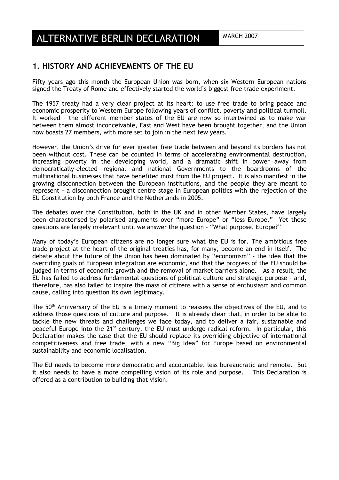## **1. HISTORY AND ACHIEVEMENTS OF THE EU**

Fifty years ago this month the European Union was born, when six Western European nations signed the Treaty of Rome and effectively started the world's biggest free trade experiment.

The 1957 treaty had a very clear project at its heart: to use free trade to bring peace and economic prosperity to Western Europe following years of conflict, poverty and political turmoil. It worked – the different member states of the EU are now so intertwined as to make war between them almost inconceivable, East and West have been brought together, and the Union now boasts 27 members, with more set to join in the next few years.

However, the Union's drive for ever greater free trade between and beyond its borders has not been without cost. These can be counted in terms of accelerating environmental destruction, increasing poverty in the developing world, and a dramatic shift in power away from democratically-elected regional and national Governments to the boardrooms of the multinational businesses that have benefited most from the EU project. It is also manifest in the growing disconnection between the European institutions, and the people they are meant to represent - a disconnection brought centre stage in European politics with the rejection of the EU Constitution by both France and the Netherlands in 2005.

The debates over the Constitution, both in the UK and in other Member States, have largely been characterised by polarised arguments over "more Europe" or "less Europe." Yet these questions are largely irrelevant until we answer the question – "What purpose, Europe?"

Many of today's European citizens are no longer sure what the EU is for. The ambitious free trade project at the heart of the original treaties has, for many, become an end in itself. The debate about the future of the Union has been dominated by "economism" – the idea that the overriding goals of European integration are economic, and that the progress of the EU should be judged in terms of economic growth and the removal of market barriers alone. As a result, the EU has failed to address fundamental questions of political culture and strategic purpose – and, therefore, has also failed to inspire the mass of citizens with a sense of enthusiasm and common cause, calling into question its own legitimacy.

The 50<sup>th</sup> Anniversary of the EU is a timely moment to reassess the objectives of the EU, and to address those questions of culture and purpose. It is already clear that, in order to be able to tackle the new threats and challenges we face today, and to deliver a fair, sustainable and peaceful Europe into the 21<sup>st</sup> century, the EU must undergo radical reform. In particular, this Declaration makes the case that the EU should replace its overriding objective of international competitiveness and free trade, with a new "Big Idea" for Europe based on environmental sustainability and economic localisation.

The EU needs to become more democratic and accountable, less bureaucratic and remote. But it also needs to have a more compelling vision of its role and purpose. This Declaration is offered as a contribution to building that vision.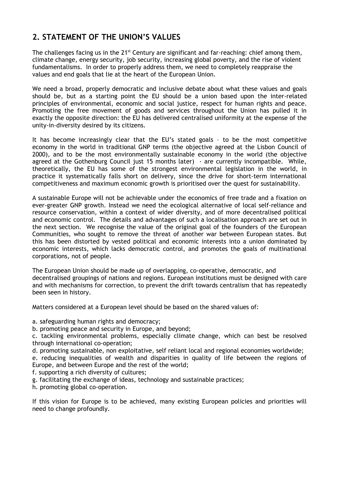# **2. STATEMENT OF THE UNION'S VALUES**

The challenges facing us in the 21<sup>st</sup> Century are significant and far-reaching: chief among them, climate change, energy security, job security, increasing global poverty, and the rise of violent fundamentalisms. In order to properly address them, we need to completely reappraise the values and end goals that lie at the heart of the European Union.

We need a broad, properly democratic and inclusive debate about what these values and goals should be, but as a starting point the EU should be a union based upon the inter-related principles of environmental, economic and social justice, respect for human rights and peace. Promoting the free movement of goods and services throughout the Union has pulled it in exactly the opposite direction: the EU has delivered centralised uniformity at the expense of the unity-in-diversity desired by its citizens.

It has become increasingly clear that the EU's stated goals – to be the most competitive economy in the world in traditional GNP terms (the objective agreed at the Lisbon Council of 2000), and to be the most environmentally sustainable economy in the world (the objective agreed at the Gothenburg Council just 15 months later) - are currently incompatible. While, theoretically, the EU has some of the strongest environmental legislation in the world, in practice it systematically falls short on delivery, since the drive for short-term international competitiveness and maximum economic growth is prioritised over the quest for sustainability.

A sustainable Europe will not be achievable under the economics of free trade and a fixation on ever-greater GNP growth. Instead we need the ecological alternative of local self-reliance and resource conservation, within a context of wider diversity, and of more decentralised political and economic control. The details and advantages of such a localisation approach are set out in the next section. We recognise the value of the original goal of the founders of the European Communities, who sought to remove the threat of another war between European states. But this has been distorted by vested political and economic interests into a union dominated by economic interests, which lacks democratic control, and promotes the goals of multinational corporations, not of people.

The European Union should be made up of overlapping, co-operative, democratic, and decentralised groupings of nations and regions. European institutions must be designed with care and with mechanisms for correction, to prevent the drift towards centralism that has repeatedly been seen in history.

Matters considered at a European level should be based on the shared values of:

- a. safeguarding human rights and democracy;
- b. promoting peace and security in Europe, and beyond;
- c. tackling environmental problems, especially climate change, which can best be resolved through international co-operation;
- d. promoting sustainable, non exploitative, self reliant local and regional economies worldwide;
- e. reducing inequalities of wealth and disparities in quality of life between the regions of Europe, and between Europe and the rest of the world;
- f. supporting a rich diversity of cultures;
- g. facilitating the exchange of ideas, technology and sustainable practices;
- h. promoting global co-operation.

If this vision for Europe is to be achieved, many existing European policies and priorities will need to change profoundly.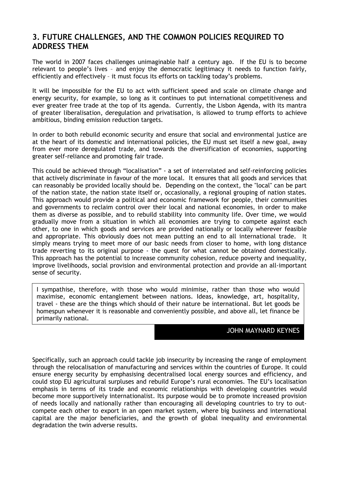# **3. FUTURE CHALLENGES, AND THE COMMON POLICIES REQUIRED TO ADDRESS THEM**

The world in 2007 faces challenges unimaginable half a century ago. If the EU is to become relevant to people's lives – and enjoy the democratic legitimacy it needs to function fairly, efficiently and effectively – it must focus its efforts on tackling today's problems.

It will be impossible for the EU to act with sufficient speed and scale on climate change and energy security, for example, so long as it continues to put international competitiveness and ever greater free trade at the top of its agenda. Currently, the Lisbon Agenda, with its mantra of greater liberalisation, deregulation and privatisation, is allowed to trump efforts to achieve ambitious, binding emission reduction targets.

In order to both rebuild economic security and ensure that social and environmental justice are at the heart of its domestic and international policies, the EU must set itself a new goal, away from ever more deregulated trade, and towards the diversification of economies, supporting greater self-reliance and promoting fair trade.

This could be achieved through "localisation" - a set of interrelated and self-reinforcing policies that actively discriminate in favour of the more local. It ensures that all goods and services that can reasonably be provided locally should be. Depending on the context, the "local" can be part of the nation state, the nation state itself or, occasionally, a regional grouping of nation states. This approach would provide a political and economic framework for people, their communities and governments to reclaim control over their local and national economies, in order to make them as diverse as possible, and to rebuild stability into community life. Over time, we would gradually move from a situation in which all economies are trying to compete against each other, to one in which goods and services are provided nationally or locally wherever feasible and appropriate. This obviously does not mean putting an end to all international trade. It simply means trying to meet more of our basic needs from closer to home, with long distance trade reverting to its original purpose - the quest for what cannot be obtained domestically. This approach has the potential to increase community cohesion, reduce poverty and inequality, improve livelihoods, social provision and environmental protection and provide an all-important sense of security.

I sympathise, therefore, with those who would minimise, rather than those who would maximise, economic entanglement between nations. Ideas, knowledge, art, hospitality, travel - these are the things which should of their nature be international. But let goods be homespun whenever it is reasonable and conveniently possible, and above all, let finance be primarily national.

#### JOHN MAYNARD KEYNES

Specifically, such an approach could tackle job insecurity by increasing the range of employment through the relocalisation of manufacturing and services within the countries of Europe. It could ensure energy security by emphasising decentralised local energy sources and efficiency, and could stop EU agricultural surpluses and rebuild Europe's rural economies. The EU's localisation emphasis in terms of its trade and economic relationships with developing countries would become more supportively internationalist. Its purpose would be to promote increased provision of needs locally and nationally rather than encouraging all developing countries to try to outcompete each other to export in an open market system, where big business and international capital are the major beneficiaries, and the growth of global inequality and environmental degradation the twin adverse results.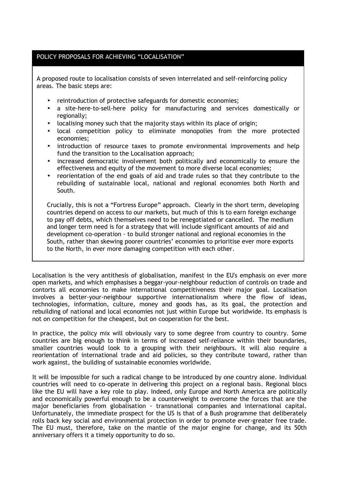#### POLICY PROPOSALS FOR ACHIEVING "LOCALISATION"

A proposed route to localisation consists of seven interrelated and self-reinforcing policy areas. The basic steps are:

- reintroduction of protective safeguards for domestic economies;
- a site-here-to-sell-here policy for manufacturing and services domestically or regionally;
- localising money such that the majority stays within its place of origin;
- local competition policy to eliminate monopolies from the more protected economies;
- introduction of resource taxes to promote environmental improvements and help fund the transition to the Localisation approach;
- increased democratic involvement both politically and economically to ensure the effectiveness and equity of the movement to more diverse local economies;
- reorientation of the end goals of aid and trade rules so that they contribute to the rebuilding of sustainable local, national and regional economies both North and South.

Crucially, this is not a "Fortress Europe" approach. Clearly in the short term, developing countries depend on access to our markets, but much of this is to earn foreign exchange to pay off debts, which themselves need to be renegotiated or cancelled. The medium and longer term need is for a strategy that will include significant amounts of aid and development co-operation - to build stronger national and regional economies in the South, rather than skewing poorer countries' economies to prioritise ever more exports to the North, in ever more damaging competition with each other.

Localisation is the very antithesis of globalisation, manifest in the EU's emphasis on ever more open markets, and which emphasises a beggar-your-neighbour reduction of controls on trade and contorts all economies to make international competitiveness their major goal. Localisation involves a better-your-neighbour supportive internationalism where the flow of ideas, technologies, information, culture, money and goods has, as its goal, the protection and rebuilding of national and local economies not just within Europe but worldwide. Its emphasis is not on competition for the cheapest, but on cooperation for the best.

In practice, the policy mix will obviously vary to some degree from country to country. Some countries are big enough to think in terms of increased self-reliance within their boundaries, smaller countries would look to a grouping with their neighbours. It will also require a reorientation of international trade and aid policies, so they contribute toward, rather than work against, the building of sustainable economies worldwide.

It will be impossible for such a radical change to be introduced by one country alone. Individual countries will need to co-operate in delivering this project on a regional basis. Regional blocs like the EU will have a key role to play. Indeed, only Europe and North America are politically and economically powerful enough to be a counterweight to overcome the forces that are the major beneficiaries from globalisation - transnational companies and international capital. Unfortunately, the immediate prospect for the US is that of a Bush programme that deliberately rolls back key social and environmental protection in order to promote ever-greater free trade. The EU must, therefore, take on the mantle of the major engine for change, and its 50th anniversary offers it a timely opportunity to do so.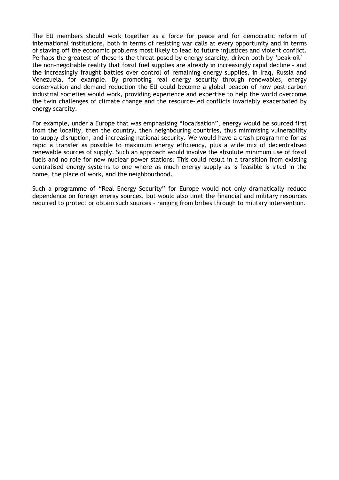The EU members should work together as a force for peace and for democratic reform of international institutions, both in terms of resisting war calls at every opportunity and in terms of staving off the economic problems most likely to lead to future injustices and violent conflict. Perhaps the greatest of these is the threat posed by energy scarcity, driven both by 'peak oil' – the non-negotiable reality that fossil fuel supplies are already in increasingly rapid decline – and the increasingly fraught battles over control of remaining energy supplies, in Iraq, Russia and Venezuela, for example. By promoting real energy security through renewables, energy conservation and demand reduction the EU could become a global beacon of how post-carbon industrial societies would work, providing experience and expertise to help the world overcome the twin challenges of climate change and the resource-led conflicts invariably exacerbated by energy scarcity.

For example, under a Europe that was emphasising "localisation", energy would be sourced first from the locality, then the country, then neighbouring countries, thus minimising vulnerability to supply disruption, and increasing national security. We would have a crash programme for as rapid a transfer as possible to maximum energy efficiency, plus a wide mix of decentralised renewable sources of supply. Such an approach would involve the absolute minimum use of fossil fuels and no role for new nuclear power stations. This could result in a transition from existing centralised energy systems to one where as much energy supply as is feasible is sited in the home, the place of work, and the neighbourhood.

Such a programme of "Real Energy Security" for Europe would not only dramatically reduce dependence on foreign energy sources, but would also limit the financial and military resources required to protect or obtain such sources - ranging from bribes through to military intervention.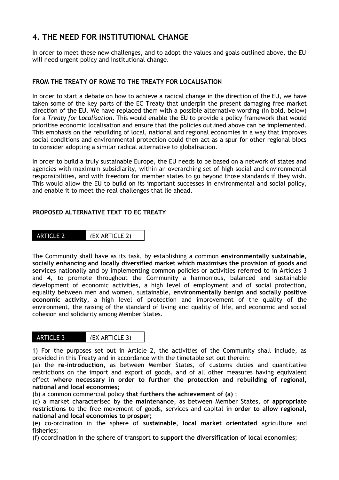# **4. THE NEED FOR INSTITUTIONAL CHANGE**

In order to meet these new challenges, and to adopt the values and goals outlined above, the EU will need urgent policy and institutional change.

#### **FROM THE TREATY OF ROME TO THE TREATY FOR LOCALISATION**

In order to start a debate on how to achieve a radical change in the direction of the EU, we have taken some of the key parts of the EC Treaty that underpin the present damaging free market direction of the EU. We have replaced them with a possible alternative wording (in bold, below) for a *Treaty for Localisation*. This would enable the EU to provide a policy framework that would prioritise economic localisation and ensure that the policies outlined above can be implemented. This emphasis on the rebuilding of local, national and regional economies in a way that improves social conditions and environmental protection could then act as a spur for other regional blocs to consider adopting a similar radical alternative to globalisation.

In order to build a truly sustainable Europe, the EU needs to be based on a network of states and agencies with maximum subsidiarity, within an overarching set of high social and environmental responsibilities, and with freedom for member states to go beyond those standards if they wish. This would allow the EU to build on its important successes in environmental and social policy, and enable it to meet the real challenges that lie ahead.

#### **PROPOSED ALTERNATIVE TEXT TO EC TREATY**



The Community shall have as its task, by establishing a common **environmentally sustainable, socially enhancing and locally diversified market which maximises the provision of goods and services** nationally and by implementing common policies or activities referred to in Articles 3 and 4, to promote throughout the Community a harmonious, balanced and sustainable development of economic activities, a high level of employment and of social protection, equality between men and women, sustainable, **environmentally benign and socially positive economic activity**, a high level of protection and improvement of the quality of the environment, the raising of the standard of living and quality of life, and economic and social cohesion and solidarity among Member States.

| <b>ARTICLE 3</b> | (EX ARTICLE 3) |
|------------------|----------------|
|                  |                |

1) For the purposes set out in Article 2, the activities of the Community shall include, as provided in this Treaty and in accordance with the timetable set out therein:

(a) the **re-introduction**, as between Member States, of customs duties and quantitative restrictions on the import and export of goods, and of all other measures having equivalent effect **where necessary in order to further the protection and rebuilding of regional, national and local economies**;

(b) a common commercial policy **that furthers the achievement of (a)** ;

(c) a market characterised by the **maintenance**, as between Member States, of **appropriate restrictions** to the free movement of goods, services and capital **in order to allow regional, national and local economies to prosper;**

(e) co-ordination in the sphere of **sustainable, local market orientated** agriculture and fisheries;

(f) coordination in the sphere of transport **to support the diversification of local economies**;